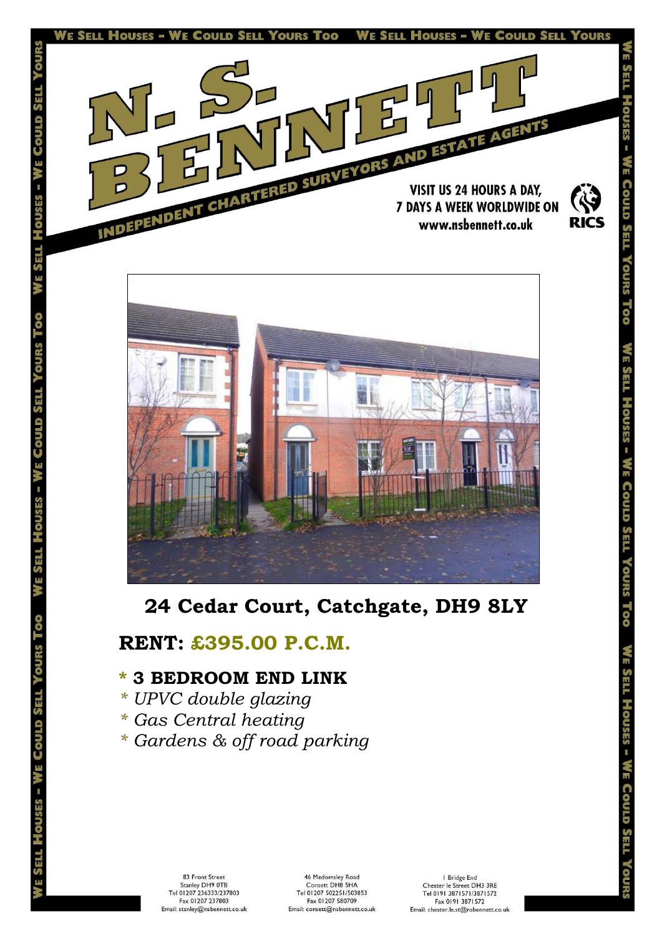



# **24 Cedar Court, Catchgate, DH9 8LY**

# **RENT: £395.00 P.C.M.**

# **\* 3 BEDROOM END LINK**

*\* UPVC double glazing*

TES<sup>S</sup> ц

an III n

ц

- *\* Gas Central heating*
- *\* Gardens & off road parking*

83 Front Street Stanley DH9 0TB<br>Tel 01207 236333/237803 Fax 01207 237803 Email: stanley@nsbennett.co.uk

| Bridge End Chester le Street DH3 3RE<br>Tel 0191 3871571/3871572 Fax 0191 3871572 Email: chester.le.st@nsbennett.co.uk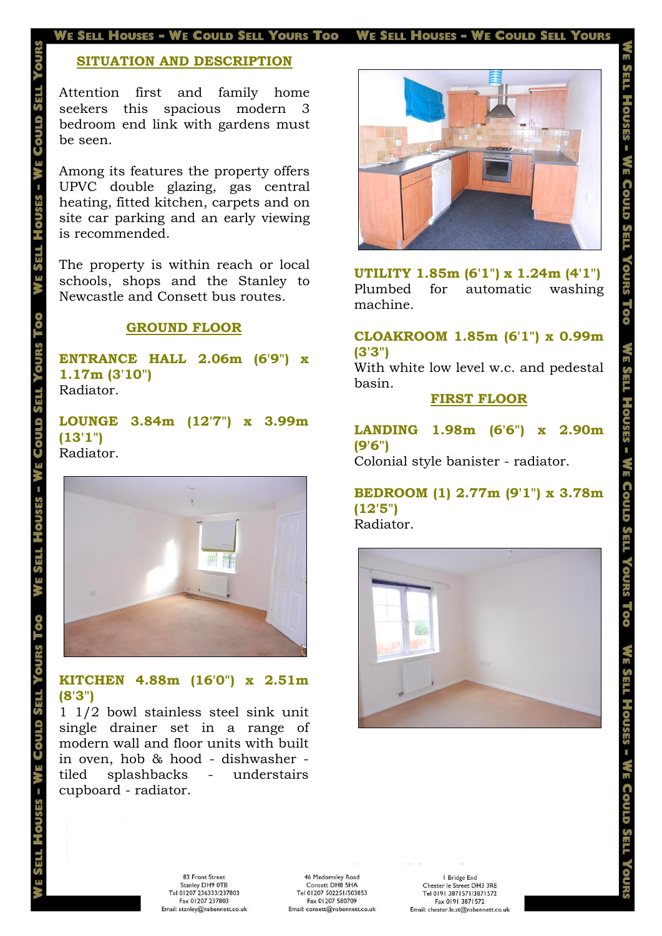#### E SELL HOUSES - WE COULD SELL YOURS TOO WE SELL HOUSES - WE COULD SELL YOURS

## **SITUATION AND DESCRIPTION**

Attention first and family home seekers this spacious modern 3 bedroom end link with gardens must be seen.

Among its features the property offers UPVC double glazing, gas central heating, fitted kitchen, carpets and on site car parking and an early viewing is recommended.

S

The property is within reach or local schools, shops and the Stanley to Newcastle and Consett bus routes.

#### **GROUND FLOOR**

**ENTRANCE HALL 2.06m (6'9") x 1.17m (3'10")**  Radiator.

**LOUNGE 3.84m (12'7") x 3.99m (13'1")**  Radiator.



### **KITCHEN 4.88m (16'0") x 2.51m (8'3")**

1 1/2 bowl stainless steel sink unit single drainer set in a range of modern wall and floor units with built in oven, hob & hood - dishwasher tiled splashbacks - understairs cupboard - radiator.



**UTILITY 1.85m (6'1") x 1.24m (4'1")**  Plumbed for automatic washing machine.

#### **CLOAKROOM 1.85m (6'1") x 0.99m (3'3")**

With white low level w.c. and pedestal basin.

#### **FIRST FLOOR**

**LANDING 1.98m (6'6") x 2.90m (9'6")** 

Colonial style banister - radiator.

## **BEDROOM (1) 2.77m (9'1") x 3.78m (12'5")**

Radiator.



83 Front Street Stanley DH9 0TB<br>Tel 01207 236333/237803 Fax 01207 237803 Email: stanley@nsbennett.co.uk

I Bridge End Chester le Street DH3 3RE<br>Tel 0191 3871571/3871572 Fax 0191 3871572 Email: chester.le.st@nsbennett.co.uk